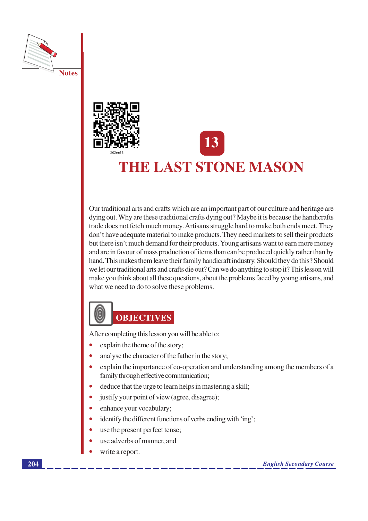



# **THE LAST STONE MASON**

Our traditional arts and crafts which are an important part of our culture and heritage are dying out. Why are these traditional crafts dying out? Maybe it is because the handicrafts trade does not fetch much money. Artisans struggle hard to make both ends meet. They don't have adequate material to make products. They need markets to sell their products but there isn't much demand for their products. Young artisans want to earn more money and are in favour of mass production of items than can be produced quickly rather than by hand. This makes them leave their family handicraft industry. Should they do this? Should we let our traditional arts and crafts die out? Can we do anything to stop it? This lesson will make you think about all these questions, about the problems faced by young artisans, and what we need to do to solve these problems.

## 0 **OBJECTIVES**

After completing this lesson you will be able to:

- explain the theme of the story;
- analyse the character of the father in the story:
- explain the importance of co-operation and understanding among the members of a family through effective communication;
- deduce that the urge to learn helps in mastering a skill;
- justify your point of view (agree, disagree);
- enhance your vocabulary;
- identify the different functions of verbs ending with 'ing';
- use the present perfect tense;
- use adverbs of manner, and
- write a report.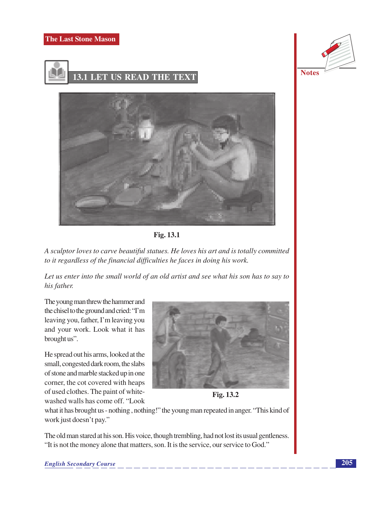



**Notes** 





A sculptor loves to carve beautiful statues. He loves his art and is totally committed to it regardless of the financial difficulties he faces in doing his work.

Let us enter into the small world of an old artist and see what his son has to say to his father.

The young man threw the hammer and the chisel to the ground and cried: "I'm leaving you, father, I'm leaving you and your work. Look what it has brought us".

He spread out his arms, looked at the small, congested dark room, the slabs of stone and marble stacked up in one corner, the cot covered with heaps of used clothes. The paint of whitewashed walls has come off. "Look



Fig. 13.2

what it has brought us - nothing, nothing!" the young man repeated in anger. "This kind of work just doesn't pay."

The old man stared at his son. His voice, though trembling, had not lost its usual gentleness. "It is not the money alone that matters, son. It is the service, our service to God."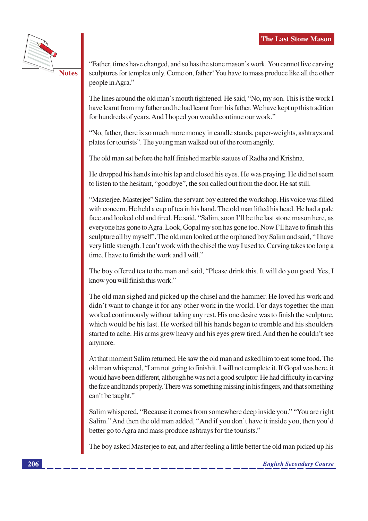

"Father, times have changed, and so has the stone mason's work. You cannot live carving sculptures for temples only. Come on, father! You have to mass produce like all the other people in Agra."

The lines around the old man's mouth tightened. He said, "No, my son. This is the work I have learnt from my father and he had learnt from his father. We have kept up this tradition for hundreds of years. And I hoped you would continue our work."

"No, father, there is so much more money in candle stands, paper-weights, ashtrays and plates for tourists". The young man walked out of the room angrily.

The old man sat before the half finished marble statues of Radha and Krishna.

He dropped his hands into his lap and closed his eyes. He was praying. He did not seem to listen to the hesitant, "goodbye", the son called out from the door. He sat still.

"Masterjee. Masterjee" Salim, the servant boy entered the workshop. His voice was filled with concern. He held a cup of tea in his hand. The old man lifted his head. He had a pale face and looked old and tired. He said, "Salim, soon I'll be the last stone mason here, as everyone has gone to Agra. Look, Gopal my son has gone too. Now I'll have to finish this sculpture all by myself". The old man looked at the orphaned boy Salim and said, "I have very little strength. I can't work with the chisel the way I used to. Carving takes too long a time. I have to finish the work and I will."

The boy offered tea to the man and said, "Please drink this. It will do you good. Yes, I know you will finish this work."

The old man sighed and picked up the chisel and the hammer. He loved his work and didn't want to change it for any other work in the world. For days together the man worked continuously without taking any rest. His one desire was to finish the sculpture, which would be his last. He worked till his hands began to tremble and his shoulders started to ache. His arms grew heavy and his eyes grew tired. And then he couldn't see anymore.

At that moment Salim returned. He saw the old man and asked him to eat some food. The old man whispered, "I am not going to finish it. I will not complete it. If Gopal was here, it would have been different, although he was not a good sculptor. He had difficulty in carving the face and hands properly. There was something missing in his fingers, and that something can't be taught."

Salim whispered, "Because it comes from somewhere deep inside you." "You are right Salim." And then the old man added, "And if you don't have it inside you, then you'd better go to Agra and mass produce ashtrays for the tourists."

The boy asked Masterjee to eat, and after feeling a little better the old man picked up his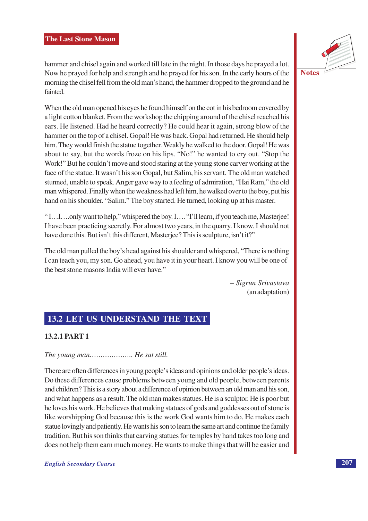hammer and chisel again and worked till late in the night. In those days he prayed a lot. Now he prayed for help and strength and he prayed for his son. In the early hours of the morning the chisel fell from the old man's hand, the hammer dropped to the ground and he fainted.

When the old man opened his eyes he found himself on the cot in his bedroom covered by a light cotton blanket. From the workshop the chipping around of the chisel reached his ears. He listened. Had he heard correctly? He could hear it again, strong blow of the hammer on the top of a chisel. Gopal! He was back. Gopal had returned. He should help him. They would finish the statue together. Weakly he walked to the door. Gopal! He was about to say, but the words froze on his lips. "No!" he wanted to cry out. "Stop the Work!" But he couldn't move and stood staring at the young stone carver working at the face of the statue. It wasn't his son Gopal, but Salim, his servant. The old man watched stunned, unable to speak. Anger gave way to a feeling of admiration, "Hai Ram," the old man whispered. Finally when the weakness had left him, he walked over to the boy, put his hand on his shoulder. "Salim." The boy started. He turned, looking up at his master.

"I...I...only want to help," whispered the boy. I.... "I'll learn, if you teach me, Masterjee!" I have been practicing secretly. For almost two years, in the quarry. I know. I should not have done this. But isn't this different, Masterjee? This is sculpture, isn't it?"

The old man pulled the boy's head against his shoulder and whispered, "There is nothing I can teach you, my son. Go ahead, you have it in your heart. I know you will be one of the best stone masons India will ever have."

> - Sigrun Srivastava (an adaptation)

## **13.2 LET US UNDERSTAND THE TEXT**

## **13.2.1 PART 1**

## The young man.................... He sat still.

There are often differences in young people's ideas and opinions and older people's ideas. Do these differences cause problems between young and old people, between parents and children? This is a story about a difference of opinion between an old man and his son, and what happens as a result. The old man makes statues. He is a sculptor. He is poor but he loves his work. He believes that making statues of gods and goddesses out of stone is like worshipping God because this is the work God wants him to do. He makes each statue lovingly and patiently. He wants his son to learn the same art and continue the family tradition. But his son thinks that carving statues for temples by hand takes too long and does not help them earn much money. He wants to make things that will be easier and

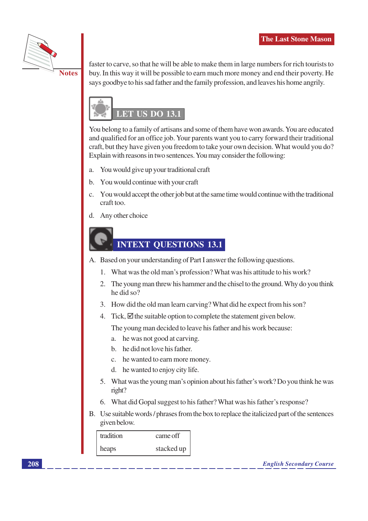

**Notes** 

faster to carve, so that he will be able to make them in large numbers for rich tourists to buy. In this way it will be possible to earn much more money and end their poverty. He says goodbye to his sad father and the family profession, and leaves his home angrily.



You belong to a family of artisans and some of them have won awards. You are educated and qualified for an office job. Your parents want you to carry forward their traditional craft, but they have given you freedom to take your own decision. What would you do? Explain with reasons in two sentences. You may consider the following:

- You would give up your traditional craft  $\mathbf{a}$ .
- You would continue with your craft b.
- c. You would accept the other job but at the same time would continue with the traditional craft too.
- d. Any other choice

## **INTEXT QUESTIONS 13.1**

A. Based on your understanding of Part I answer the following questions.

- 1. What was the old man's profession? What was his attitude to his work?
- 2. The young man threw his hammer and the chisel to the ground. Why do you think he did so?
- 3. How did the old man learn carving? What did he expect from his son?
- 4. Tick,  $\boxtimes$  the suitable option to complete the statement given below.

The young man decided to leave his father and his work because:

- a. he was not good at carving.
- b. he did not love his father.
- c. he wanted to earn more money.
- d. he wanted to enjoy city life.
- 5. What was the young man's opinion about his father's work? Do you think he was right?
- 6. What did Gopal suggest to his father? What was his father's response?
- B. Use suitable words / phrases from the box to replace the italicized part of the sentences given below.

| tradition | came off   |
|-----------|------------|
| heaps     | stacked up |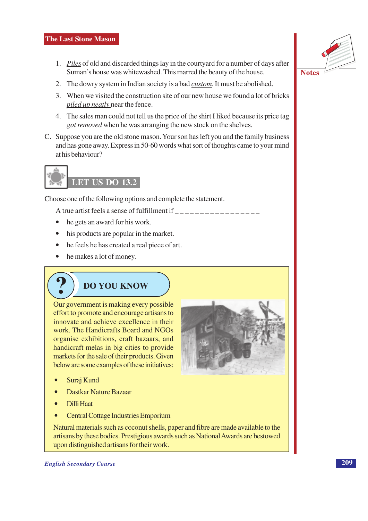#### **The Last Stone Mason**

- 1. Piles of old and discarded things lay in the courty and for a number of days after Suman's house was whitewashed. This marred the beauty of the house.
- 2. The dowry system in Indian society is a bad *custom*. It must be abolished.
- 3. When we visited the construction site of our new house we found a lot of bricks *piled up neatly near the fence.*
- 4. The sales man could not tell us the price of the shirt I liked because its price tag *got removed* when he was arranging the new stock on the shelves.
- C. Suppose you are the old stone mason. Your son has left you and the family business and has gone away. Express in 50-60 words what sort of thoughts came to your mind at his behaviour?



Choose one of the following options and complete the statement.

- he gets an award for his work.
- $\bullet$ his products are popular in the market.
- he feels he has created a real piece of art.
- $\bullet$  he makes a lot of money.

## **DO YOU KNOW**

Our government is making every possible effort to promote and encourage artisans to innovate and achieve excellence in their work. The Handicrafts Board and NGOs organise exhibitions, craft bazaars, and handicraft melas in big cities to provide markets for the sale of their products. Given below are some examples of these initiatives:



- Suraj Kund
- **Dastkar Nature Bazaar**
- **Dilli Haat**
- **Central Cottage Industries Emporium**

Natural materials such as coconut shells, paper and fibre are made available to the artisans by these bodies. Prestigious awards such as National Awards are bestowed upon distinguished artisans for their work.

**English Secondary Course** 



**Notes**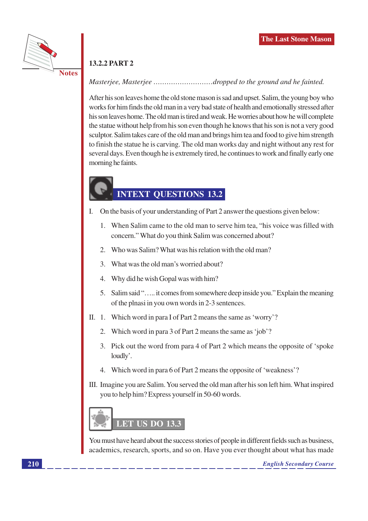

## **13.2.2 PART 2**

## Masterjee, Masterjee ..........................dropped to the ground and he fainted.

After his son leaves home the old stone mason is sad and upset. Salim, the young boy who works for him finds the old man in a very bad state of health and emotionally stressed after his son leaves home. The old man is tired and weak. He worries about how he will complete the statue without help from his son even though he knows that his son is not a very good sculptor. Salim takes care of the old man and brings him tea and food to give him strength to finish the statue he is carving. The old man works day and night without any rest for several days. Even though he is extremely tired, he continues to work and finally early one morning he faints.

## **INTEXT QUESTIONS 13.2**

- I. On the basis of your understanding of Part 2 answer the questions given below:
	- 1. When Salim came to the old man to serve him tea, "his voice was filled with concern." What do you think Salim was concerned about?
	- 2. Who was Salim? What was his relation with the old man?
	- 3. What was the old man's worried about?
	- 4. Why did he wish Gopal was with him?
	- 5. Salim said "..... it comes from somewhere deep inside you." Explain the meaning of the plnasi in you own words in 2-3 sentences.
- II. 1. Which word in para I of Part 2 means the same as 'worry'?
	- 2. Which word in para 3 of Part 2 means the same as 'job'?
	- 3. Pick out the word from para 4 of Part 2 which means the opposite of 'spoke' loudly'.
	- 4. Which word in para 6 of Part 2 means the opposite of 'weakness'?
- III. Imagine you are Salim. You served the old man after his son left him. What inspired you to help him? Express yourself in 50-60 words.



You must have heard about the success stories of people in different fields such as business, academics, research, sports, and so on. Have you ever thought about what has made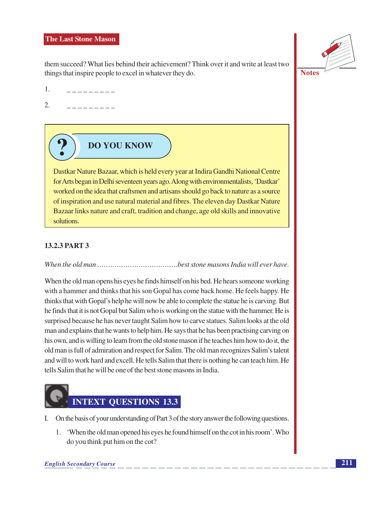#### **The Last Stone Mason**

them succeed? What lies behind their achievement? Think over it and write at least two things that inspire people to excel in whatever they do.



**Notes** 

- 1. \_ \_ \_ \_ \_ \_ \_ \_ \_
- $\overline{2}$ .

## **DO YOU KNOW**

Dastkar Nature Bazaar, which is held every year at Indira Gandhi National Centre for Arts began in Delhi seventeen years ago. Along with environmentalists, 'Dastkar' worked on the idea that craftsmen and artisans should go back to nature as a source of inspiration and use natural material and fibres. The eleven day Dastkar Nature Bazaar links nature and craft, tradition and change, age old skills and innovative solutions.

## **13.2.3 PART 3**

When the old man opens his eyes he finds himself on his bed. He hears someone working with a hammer and thinks that his son Gopal has come back home. He feels happy. He thinks that with Gopal's help he will now be able to complete the statue he is carving. But he finds that it is not Gopal but Salim who is working on the statue with the hammer. He is surprised because he has never taught Salim how to carve statues. Salim looks at the old man and explains that he wants to help him. He says that he has been practising carving on his own, and is willing to learn from the old stone mason if he teaches him how to do it, the old man is full of admiration and respect for Salim. The old man recognizes Salim's talent and will to work hard and excell. He tells Salim that there is nothing he can teach him. He tells Salim that he will be one of the best stone masons in India.



- I. On the basis of your understanding of Part 3 of the story answer the following questions.
	- 1. 'When the old man opened his eyes he found himself on the cot in his room'. Who do you think put him on the cot?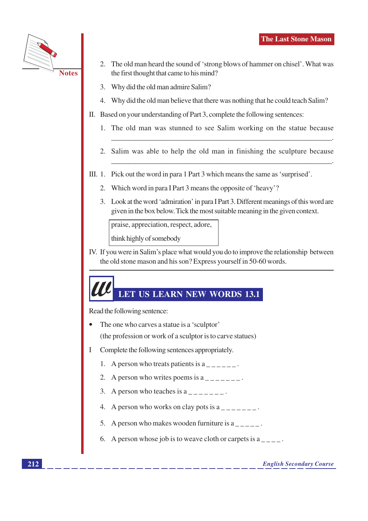

- 2. The old man heard the sound of 'strong blows of hammer on chisel'. What was the first thought that came to his mind?
- 3. Why did the old man admire Salim?
- 4. Why did the old man believe that there was nothing that he could teach Salim?
- II. Based on your understanding of Part 3, complete the following sentences:
	- The old man was stunned to see Salim working on the statue because  $1_{-}$
	- 2. Salim was able to help the old man in finishing the sculpture because
- III. 1. Pick out the word in para 1 Part 3 which means the same as 'surprised'.
	- 2. Which word in para I Part 3 means the opposite of 'heavy'?
	- 3. Look at the word 'admiration' in para I Part 3. Different meanings of this word are given in the box below. Tick the most suitable meaning in the given context.

praise, appreciation, respect, adore,

think highly of somebody

IV. If you were in Salim's place what would you do to improve the relationship between the old stone mason and his son? Express yourself in 50-60 words.

## LET US LEARN NEW WORDS 13.1

Read the following sentence:

- The one who carves a statue is a 'sculptor' (the profession or work of a sculptor is to carve statues)
- $\mathbf{I}$ Complete the following sentences appropriately.
	- 1. A person who treats patients is  $a_{\text{max}} = 1$ .
	- 2. A person who writes poems is  $a_{\text{---}-\text{---}}$ .
	- 3. A person who teaches is  $a_{\text{---}-\text{---}}$ .
	- 4. A person who works on clay pots is  $a_{-}$  =  $-$  =  $\cdot$
	- 5. A person who makes wooden furniture is a
	- 6. A person whose job is to we ave cloth or carpets is a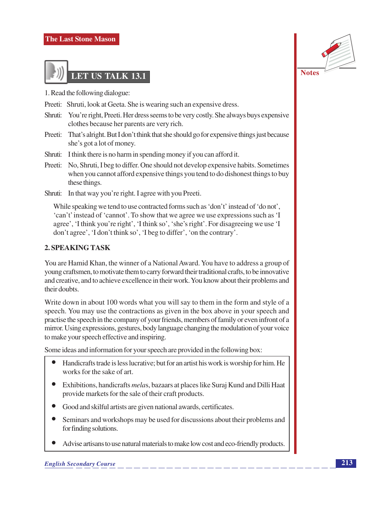

1. Read the following dialogue:

- Preeti: Shruti, look at Geeta. She is wearing such an expensive dress.
- Shruti: You're right, Preeti. Her dress seems to be very costly. She always buys expensive clothes because her parents are very rich.
- Preeti: That's alright. But I don't think that she should go for expensive things just because she's got a lot of money.
- Shruti: I think there is no harm in spending money if you can afford it.
- Preeti: No, Shruti, I beg to differ. One should not develop expensive habits. Sometimes when you cannot afford expensive things you tend to do dishonest things to buy these things.
- Shruti: In that way you're right. I agree with you Preeti.

While speaking we tend to use contracted forms such as 'don't' instead of 'do not', 'can't' instead of 'cannot'. To show that we agree we use expressions such as 'I agree', 'I think you're right', 'I think so', 'she's right'. For disagreeing we use 'I don't agree', 'I don't think so', 'I beg to differ', 'on the contrary'.

## 2. SPEAKING TASK

You are Hamid Khan, the winner of a National Award. You have to address a group of young craftsmen, to motivate them to carry forward their traditional crafts, to be innovative and creative, and to achieve excellence in their work. You know about their problems and their doubts

Write down in about 100 words what you will say to them in the form and style of a speech. You may use the contractions as given in the box above in your speech and practise the speech in the company of your friends, members of family or even infront of a mirror. Using expressions, gestures, body language changing the modulation of your voice to make your speech effective and inspiring.

Some ideas and information for your speech are provided in the following box:

- Handicrafts trade is less lucrative; but for an artist his work is worship for him. He works for the sake of art.
- Exhibitions, handicrafts *melas*, bazaars at places like Suraj Kund and Dilli Haat provide markets for the sale of their craft products.
- Good and skilful artists are given national awards, certificates.
- Seminars and workshops may be used for discussions about their problems and for finding solutions.
- Advise artisans to use natural materials to make low cost and eco-friendly products.

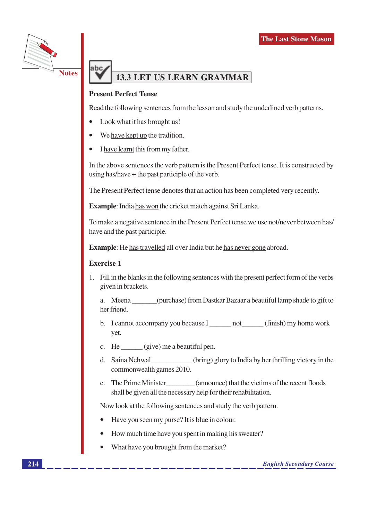

## **13.3 LET US LEARN GRAMMAR**

## **Present Perfect Tense**

ahc

Read the following sentences from the lesson and study the underlined verb patterns.

- Look what it has brought us!
- We have kept up the tradition.
- I have learnt this from my father.

In the above sentences the verb pattern is the Present Perfect tense. It is constructed by using has/have  $+$  the past participle of the verb.

The Present Perfect tense denotes that an action has been completed very recently.

**Example:** India has won the cricket match against Sri Lanka.

To make a negative sentence in the Present Perfect tense we use not/never between has/ have and the past participle.

**Example:** He has travelled all over India but he has never gone abroad.

#### **Exercise 1**

1. Fill in the blanks in the following sentences with the present perfect form of the verbs given in brackets.

a. Meena (purchase) from Dastkar Bazaar a beautiful lamp shade to gift to her friend

- b. I cannot accompany you because  $I$  \_\_\_\_\_\_\_\_ not  $(finish)$  my home work yet.
- c. He  $\_\_\_\$ (give) me a beautiful pen.
- $(bring)$  glory to India by her thrilling victory in the d. Saina Nehwal commonwealth games 2010.
- e. The Prime Minister (announce) that the victims of the recent floods shall be given all the necessary help for their rehabilitation.

Now look at the following sentences and study the verb pattern.

- Have you seen my purse? It is blue in colour.
- How much time have you spent in making his sweater?
- What have you brought from the market?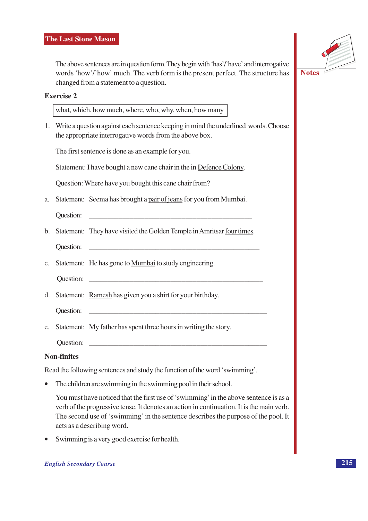The above sentences are in question form. They begin with 'has'/'have' and interrogative words 'how'/'how' much. The verb form is the present perfect. The structure has changed from a statement to a question.



#### **Exercise 2**

what, which, how much, where, who, why, when, how many

1. Write a question against each sentence keeping in mind the underlined words. Choose the appropriate interrogative words from the above box.

The first sentence is done as an example for you.

Statement: I have bought a new cane chair in the in Defence Colony.

Question: Where have you bought this cane chair from?

a. Statement: Seema has brought a pair of jeans for you from Mumbai.

**Ouestion:** 

b. Statement: They have visited the Golden Temple in Amritsar four times.

**Question:** 

c. Statement: He has gone to Mumbai to study engineering.

**Ouestion:** 

- d. Statement: Ramesh has given you a shirt for your birthday.
	- Question:
- e. Statement: My father has spent three hours in writing the story.

**Ouestion:** 

## **Non-finites**

Read the following sentences and study the function of the word 'swimming'.

The children are swimming in the swimming pool in their school.

You must have noticed that the first use of 'swimming' in the above sentence is as a verb of the progressive tense. It denotes an action in continuation. It is the main verb. The second use of 'swimming' in the sentence describes the purpose of the pool. It acts as a describing word.

Swimming is a very good exercise for health.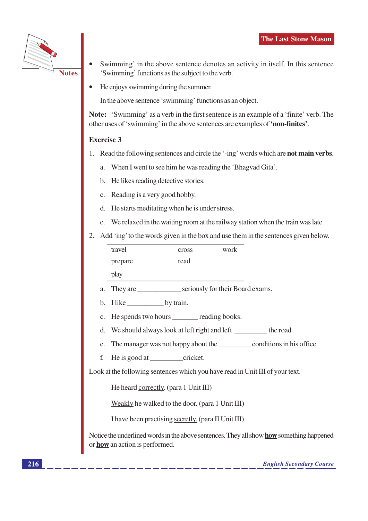

- Swimming' in the above sentence denotes an activity in itself. In this sentence 'Swimming' functions as the subject to the verb.
- He enjoys swimming during the summer.

In the above sentence 'swimming' functions as an object.

Note: 'Swimming' as a verb in the first sentence is an example of a 'finite' verb. The other uses of 'swimming' in the above sentences are examples of 'non-finites'.

## **Exercise 3**

- 1. Read the following sentences and circle the '-ing' words which are **not main verbs**.
	- a. When I went to see him he was reading the 'Bhagvad Gita'.
	- b. He likes reading detective stories.
	- c. Reading is a very good hobby.
	- d. He starts meditating when he is under stress.
	- e. We relaxed in the waiting room at the railway station when the train was late.
- 2. Add 'ing' to the words given in the box and use them in the sentences given below.

| travel  | cross | work |
|---------|-------|------|
| prepare | read  |      |
| play    |       |      |

- They are seriously for their Board exams.  $\mathbf{a}$ .
- b. I like by train.
- c. He spends two hours reading books.
- d. We should always look at left right and left \_\_\_\_\_\_\_\_\_ the road
- The manager was not happy about the <u>conditions</u> in his office. e.
- f.

Look at the following sentences which you have read in Unit III of your text.

He heard correctly. (para 1 Unit III)

Weakly he walked to the door. (para 1 Unit III)

I have been practising secretly. (para II Unit III)

Notice the underlined words in the above sentences. They all show how something happened or how an action is performed.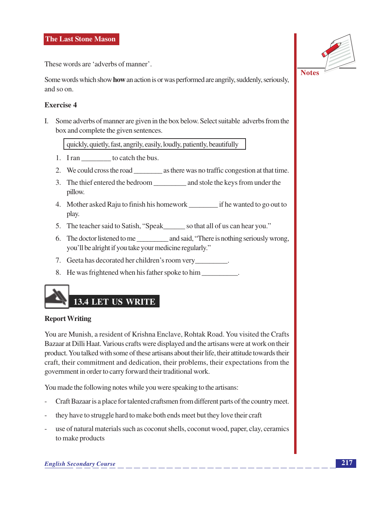These words are 'adverbs of manner'.

Some words which show **how** an action is or was performed are angrily, suddenly, seriously, and so on.

## Exercise 4

I. Some adverbs of manner are given in the box below. Select suitable adverbs from the box and complete the given sentences.

quickly, quietly, fast, angrily, easily, loudly, patiently, beautifully

- 1. I ran to catch the bus.
- 
- pillow.
- 4. Mother asked Raju to finish his homework if he wanted to go out to play.
- 5. The teacher said to Satish, "Speak\_\_\_\_\_\_\_ so that all of us can hear vou."
- 6. The doctor listened to me and said, "There is nothing seriously wrong, you'll be alright if you take your medicine regularly."
- 7. Geeta has decorated her children's room very
- 8. He was frightened when his father spoke to him

## **13.4 LET US WRITE**

#### **Report Writing**

You are Munish, a resident of Krishna Enclave, Rohtak Road. You visited the Crafts Bazaar at Dilli Haat. Various crafts were displayed and the artisans were at work on their product. You talked with some of these artisans about their life, their attitude towards their craft, their commitment and dedication, their problems, their expectations from the government in order to carry forward their traditional work.

You made the following notes while you were speaking to the artisans:

- Craft Bazaar is a place for talented craftsmen from different parts of the country meet.
- they have to struggle hard to make both ends meet but they love their craft
- use of natural materials such as coconut shells, coconut wood, paper, clay, ceramics to make products

**Notes**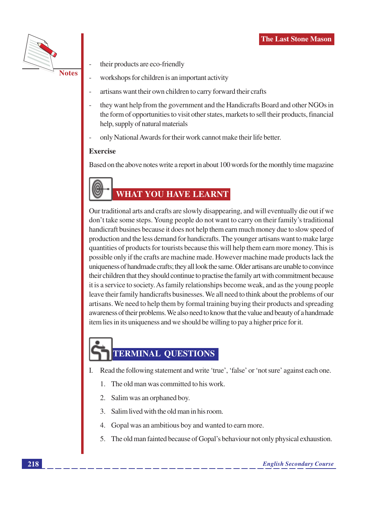

their products are eco-friendly

- workshops for children is an important activity
- artisans want their own children to carry forward their crafts
- they want help from the government and the Handicrafts Board and other NGOs in the form of opportunities to visit other states, markets to sell their products, financial help, supply of natural materials
- only National Awards for their work cannot make their life better.

## **Exercise**

Based on the above notes write a report in about 100 words for the monthly time magazine

## **WHAT YOU HAVE LEARNT**

Our traditional arts and crafts are slowly disappearing, and will eventually die out if we don't take some steps. Young people do not want to carry on their family's traditional handicraft busines because it does not help them earn much money due to slow speed of production and the less demand for handicrafts. The younger artisans want to make large quantities of products for tourists because this will help them earn more money. This is possible only if the crafts are machine made. However machine made products lack the uniqueness of handmade crafts; they all look the same. Older artisans are unable to convince their children that they should continue to practise the family art with commitment because it is a service to society. As family relationships become weak, and as the young people leave their family handicrafts businesses. We all need to think about the problems of our artisans. We need to help them by formal training buying their products and spreading awareness of their problems. We also need to know that the value and beauty of a handmade item lies in its uniqueness and we should be willing to pay a higher price for it.

## **TERMINAL QUESTIONS**

- I. Read the following statement and write 'true', 'false' or 'not sure' against each one.
	- The old man was committed to his work.  $\mathbf{1}$
	- Salim was an orphaned boy.
	- Salim lived with the old man in his room.
	- Gopal was an ambitious boy and wanted to earn more.
	- 5. The old man fainted because of Gopal's behaviour not only physical exhaustion.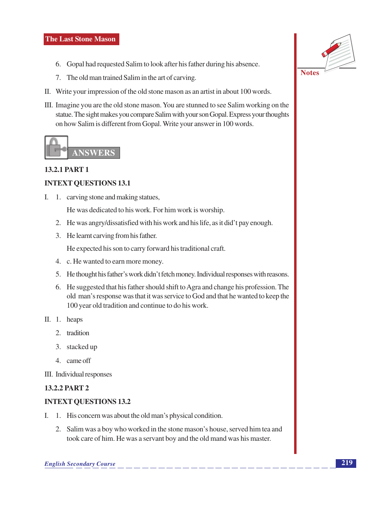- 6. Gopal had requested Salim to look after his father during his absence.
- 7. The old man trained Salim in the art of carving.
- II. Write your impression of the old stone mason as an artist in about 100 words.
- III. Imagine you are the old stone mason. You are stunned to see Salim working on the statue. The sight makes you compare Salim with your son Gopal. Express your thoughts on how Salim is different from Gopal. Write your answer in 100 words.



## **13.2.1 PART 1**

## **INTEXT QUESTIONS 13.1**

I. 1. carving stone and making statues,

He was dedicated to his work. For him work is worship.

- 2. He was angry/dissatisfied with his work and his life, as it did't pay enough.
- 3. He learnt carving from his father.

He expected his son to carry forward his traditional craft.

- 4. c. He wanted to earn more money.
- 5. He thought his father's work didn't fetch money. Individual responses with reasons.
- 6. He suggested that his father should shift to Agra and change his profession. The old man's response was that it was service to God and that he wanted to keep the 100 year old tradition and continue to do his work.
- II. 1. heaps
	- 2. tradition
	- 3. stacked up
	- 4. came off

III. Individual responses

## **13.2.2 PART 2**

## **INTEXT QUESTIONS 13.2**

- I. 1. His concern was about the old man's physical condition.
	- 2. Salim was a boy who worked in the stone mason's house, served him tea and took care of him. He was a servant boy and the old mand was his master.

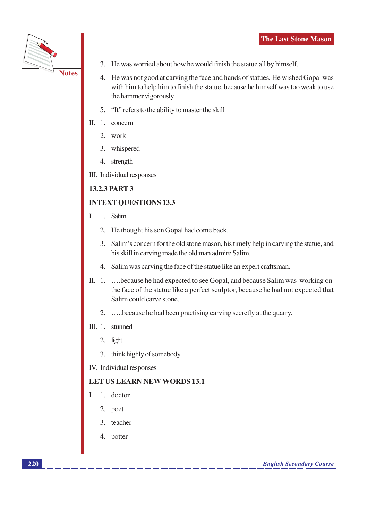

- 3. He was worried about how he would finish the statue all by himself.
- 4. He was not good at carving the face and hands of statues. He wished Gopal was with him to help him to finish the statue, because he himself was too weak to use the hammer vigorously.
- 5. "It" refers to the ability to master the skill
- II. 1. concern
	- 2. work
	- 3. whispered
	- 4. strength
- III. Individual responses

## **13.2.3 PART 3**

## **INTEXT OUESTIONS 13.3**

- 1. Salim  $\mathbf{I}$ .
	- 2. He thought his son Gopal had come back.
	- 3. Salim's concern for the old stone mason, his timely help in carving the statue, and his skill in carving made the old man admire Salim.
	- 4. Salim was carving the face of the statue like an expert craftsman.
- II. 1. ... because he had expected to see Gopal, and because Salim was working on the face of the statue like a perfect sculptor, because he had not expected that Salim could carve stone.
	- 2. ... because he had been practising carving secretly at the quarry.
- III. 1. stunned
	- 2. light
	- 3. think highly of somebody
- IV. Individual responses

## **LET US LEARN NEW WORDS 13.1**

- I. 1. doctor
	- 2. poet
	- 3. teacher
	- 4. potter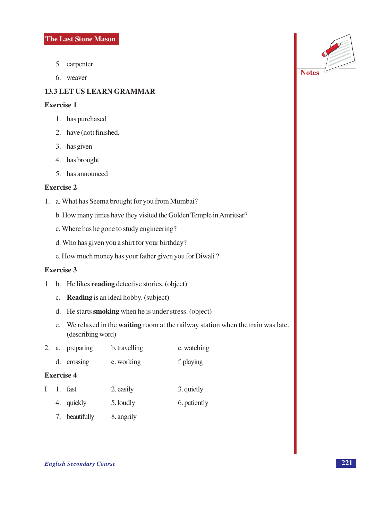- 5. carpenter
- 6. weaver

## **13.3 LET US LEARN GRAMMAR**

## **Exercise 1**

- 1. has purchased
- 2. have (not) finished.
- 3. has given
- 4. has brought
- 5. has announced

## **Exercise 2**

- 1. a. What has Seema brought for you from Mumbai?
	- b. How many times have they visited the Golden Temple in Amritsar?
	- c. Where has he gone to study engineering?
	- d. Who has given you a shirt for your birthday?
	- e. How much money has your father given you for Diwali?

## **Exercise 3**

- 1 b. He likes reading detective stories. (object)
	- c. Reading is an ideal hobby. (subject)
	- d. He starts smoking when he is under stress. (object)
	- e. We relaxed in the **waiting** room at the railway station when the train was late. (describing word)
- 2. a. preparing b. travelling c. watching
- d. crossing e. working f. playing

#### **Exercise 4**

- $I$  1. fast 2. easily 3. quietly
	- 4. quickly 5. loudly 6. patiently
	- 7. beautifully 8. angrily